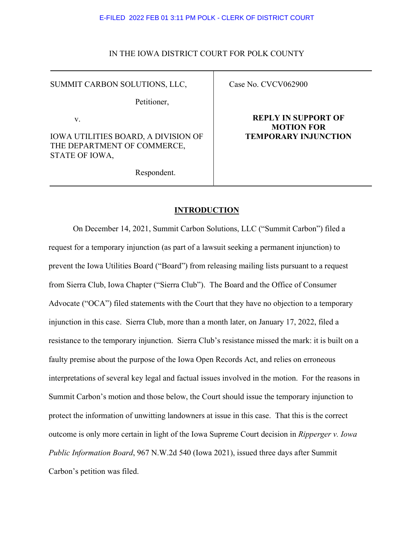## IN THE IOWA DISTRICT COURT FOR POLK COUNTY

SUMMIT CARBON SOLUTIONS, LLC,

Petitioner,

v.

IOWA UTILITIES BOARD, A DIVISION OF THE DEPARTMENT OF COMMERCE, STATE OF IOWA,

Respondent.

Case No. CVCV062900

## **REPLY IN SUPPORT OF MOTION FOR TEMPORARY INJUNCTION**

## **INTRODUCTION**

On December 14, 2021, Summit Carbon Solutions, LLC ("Summit Carbon") filed a request for a temporary injunction (as part of a lawsuit seeking a permanent injunction) to prevent the Iowa Utilities Board ("Board") from releasing mailing lists pursuant to a request from Sierra Club, Iowa Chapter ("Sierra Club"). The Board and the Office of Consumer Advocate ("OCA") filed statements with the Court that they have no objection to a temporary injunction in this case. Sierra Club, more than a month later, on January 17, 2022, filed a resistance to the temporary injunction. Sierra Club's resistance missed the mark: it is built on a faulty premise about the purpose of the Iowa Open Records Act, and relies on erroneous interpretations of several key legal and factual issues involved in the motion. For the reasons in Summit Carbon's motion and those below, the Court should issue the temporary injunction to protect the information of unwitting landowners at issue in this case. That this is the correct outcome is only more certain in light of the Iowa Supreme Court decision in *Ripperger v. Iowa Public Information Board*, 967 N.W.2d 540 (Iowa 2021), issued three days after Summit Carbon's petition was filed.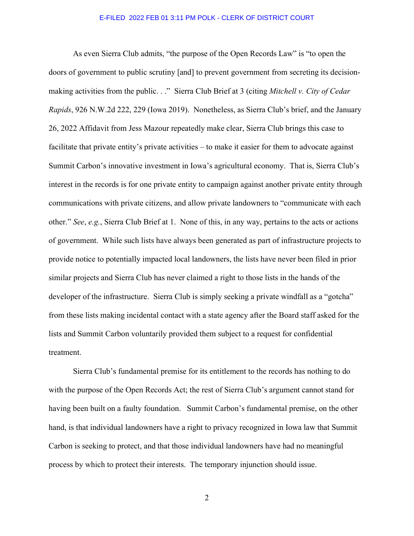As even Sierra Club admits, "the purpose of the Open Records Law" is "to open the doors of government to public scrutiny [and] to prevent government from secreting its decisionmaking activities from the public. . ." Sierra Club Brief at 3 (citing *Mitchell v. City of Cedar Rapids*, 926 N.W.2d 222, 229 (Iowa 2019). Nonetheless, as Sierra Club's brief, and the January 26, 2022 Affidavit from Jess Mazour repeatedly make clear, Sierra Club brings this case to facilitate that private entity's private activities – to make it easier for them to advocate against Summit Carbon's innovative investment in Iowa's agricultural economy. That is, Sierra Club's interest in the records is for one private entity to campaign against another private entity through communications with private citizens, and allow private landowners to "communicate with each other." *See*, *e.g.*, Sierra Club Brief at 1. None of this, in any way, pertains to the acts or actions of government. While such lists have always been generated as part of infrastructure projects to provide notice to potentially impacted local landowners, the lists have never been filed in prior similar projects and Sierra Club has never claimed a right to those lists in the hands of the developer of the infrastructure. Sierra Club is simply seeking a private windfall as a "gotcha" from these lists making incidental contact with a state agency after the Board staff asked for the lists and Summit Carbon voluntarily provided them subject to a request for confidential treatment.

Sierra Club's fundamental premise for its entitlement to the records has nothing to do with the purpose of the Open Records Act; the rest of Sierra Club's argument cannot stand for having been built on a faulty foundation. Summit Carbon's fundamental premise, on the other hand, is that individual landowners have a right to privacy recognized in Iowa law that Summit Carbon is seeking to protect, and that those individual landowners have had no meaningful process by which to protect their interests. The temporary injunction should issue.

2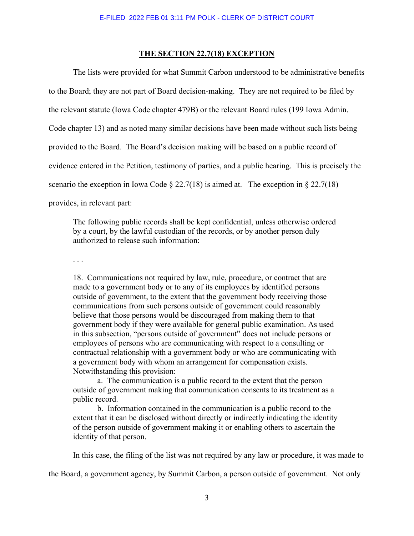### **THE SECTION 22.7(18) EXCEPTION**

The lists were provided for what Summit Carbon understood to be administrative benefits to the Board; they are not part of Board decision-making. They are not required to be filed by the relevant statute (Iowa Code chapter 479B) or the relevant Board rules (199 Iowa Admin. Code chapter 13) and as noted many similar decisions have been made without such lists being provided to the Board. The Board's decision making will be based on a public record of evidence entered in the Petition, testimony of parties, and a public hearing. This is precisely the scenario the exception in Iowa Code  $\S 22.7(18)$  is aimed at. The exception in  $\S 22.7(18)$ provides, in relevant part:

The following public records shall be kept confidential, unless otherwise ordered by a court, by the lawful custodian of the records, or by another person duly authorized to release such information:

. . .

18. Communications not required by law, rule, procedure, or contract that are made to a government body or to any of its employees by identified persons outside of government, to the extent that the government body receiving those communications from such persons outside of government could reasonably believe that those persons would be discouraged from making them to that government body if they were available for general public examination. As used in this subsection, "persons outside of government" does not include persons or employees of persons who are communicating with respect to a consulting or contractual relationship with a government body or who are communicating with a government body with whom an arrangement for compensation exists. Notwithstanding this provision:

 a. The communication is a public record to the extent that the person outside of government making that communication consents to its treatment as a public record.

 b. Information contained in the communication is a public record to the extent that it can be disclosed without directly or indirectly indicating the identity of the person outside of government making it or enabling others to ascertain the identity of that person.

In this case, the filing of the list was not required by any law or procedure, it was made to

the Board, a government agency, by Summit Carbon, a person outside of government. Not only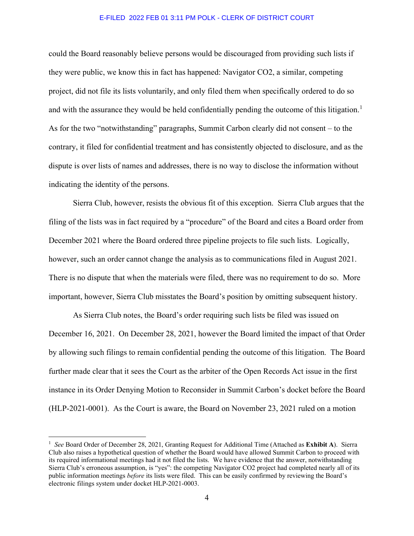could the Board reasonably believe persons would be discouraged from providing such lists if they were public, we know this in fact has happened: Navigator CO2, a similar, competing project, did not file its lists voluntarily, and only filed them when specifically ordered to do so and with the assurance they would be held confidentially pending the outcome of this litigation.<sup>[1](#page-3-0)</sup> As for the two "notwithstanding" paragraphs, Summit Carbon clearly did not consent – to the contrary, it filed for confidential treatment and has consistently objected to disclosure, and as the dispute is over lists of names and addresses, there is no way to disclose the information without indicating the identity of the persons.

Sierra Club, however, resists the obvious fit of this exception. Sierra Club argues that the filing of the lists was in fact required by a "procedure" of the Board and cites a Board order from December 2021 where the Board ordered three pipeline projects to file such lists. Logically, however, such an order cannot change the analysis as to communications filed in August 2021. There is no dispute that when the materials were filed, there was no requirement to do so. More important, however, Sierra Club misstates the Board's position by omitting subsequent history.

As Sierra Club notes, the Board's order requiring such lists be filed was issued on December 16, 2021. On December 28, 2021, however the Board limited the impact of that Order by allowing such filings to remain confidential pending the outcome of this litigation. The Board further made clear that it sees the Court as the arbiter of the Open Records Act issue in the first instance in its Order Denying Motion to Reconsider in Summit Carbon's docket before the Board (HLP-2021-0001). As the Court is aware, the Board on November 23, 2021 ruled on a motion

<span id="page-3-0"></span><sup>1</sup> *See* Board Order of December 28, 2021, Granting Request for Additional Time (Attached as **Exhibit A**). Sierra Club also raises a hypothetical question of whether the Board would have allowed Summit Carbon to proceed with its required informational meetings had it not filed the lists. We have evidence that the answer, notwithstanding Sierra Club's erroneous assumption, is "yes": the competing Navigator CO2 project had completed nearly all of its public information meetings *before* its lists were filed. This can be easily confirmed by reviewing the Board's electronic filings system under docket HLP-2021-0003.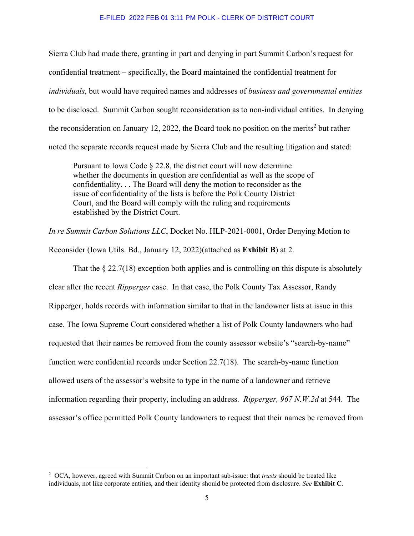Sierra Club had made there, granting in part and denying in part Summit Carbon's request for confidential treatment – specifically, the Board maintained the confidential treatment for *individuals*, but would have required names and addresses of *business and governmental entities* to be disclosed. Summit Carbon sought reconsideration as to non-individual entities. In denying the reconsideration on January 1[2](#page-4-0), 2022, the Board took no position on the merits<sup>2</sup> but rather noted the separate records request made by Sierra Club and the resulting litigation and stated:

Pursuant to Iowa Code § 22.8, the district court will now determine whether the documents in question are confidential as well as the scope of confidentiality. . . The Board will deny the motion to reconsider as the issue of confidentiality of the lists is before the Polk County District Court, and the Board will comply with the ruling and requirements established by the District Court.

*In re Summit Carbon Solutions LLC*, Docket No. HLP-2021-0001, Order Denying Motion to Reconsider (Iowa Utils. Bd., January 12, 2022)(attached as **Exhibit B**) at 2.

That the  $\S 22.7(18)$  exception both applies and is controlling on this dispute is absolutely clear after the recent *Ripperger* case. In that case, the Polk County Tax Assessor, Randy Ripperger, holds records with information similar to that in the landowner lists at issue in this case. The Iowa Supreme Court considered whether a list of Polk County landowners who had requested that their names be removed from the county assessor website's "search-by-name" function were confidential records under Section 22.7(18). The search-by-name function allowed users of the assessor's website to type in the name of a landowner and retrieve information regarding their property, including an address. *Ripperger, 967 N.W.2d* at 544. The assessor's office permitted Polk County landowners to request that their names be removed from

<span id="page-4-0"></span><sup>2</sup> OCA, however, agreed with Summit Carbon on an important sub-issue: that *trusts* should be treated like individuals, not like corporate entities, and their identity should be protected from disclosure. *See* **Exhibit C**.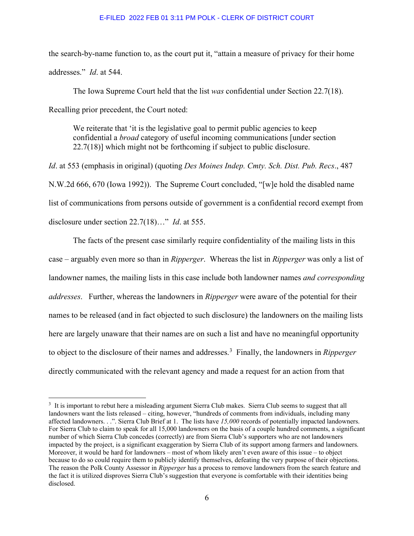the search-by-name function to, as the court put it, "attain a measure of privacy for their home addresses." *Id*. at 544.

The Iowa Supreme Court held that the list *was* confidential under Section 22.7(18). Recalling prior precedent, the Court noted:

We reiterate that 'it is the legislative goal to permit public agencies to keep confidential a *broad* category of useful incoming communications [under section 22.7(18)] which might not be forthcoming if subject to public disclosure.

*Id*. at 553 (emphasis in original) (quoting *Des Moines Indep. Cmty. Sch. Dist. Pub. Recs*., 487 N.W.2d 666, 670 (Iowa 1992)). The Supreme Court concluded, "[w]e hold the disabled name list of communications from persons outside of government is a confidential record exempt from disclosure under section 22.7(18)…" *Id*. at 555.

The facts of the present case similarly require confidentiality of the mailing lists in this case – arguably even more so than in *Ripperger*. Whereas the list in *Ripperger* was only a list of landowner names, the mailing lists in this case include both landowner names *and corresponding addresses*. Further, whereas the landowners in *Ripperger* were aware of the potential for their names to be released (and in fact objected to such disclosure) the landowners on the mailing lists here are largely unaware that their names are on such a list and have no meaningful opportunity to object to the disclosure of their names and addresses.[3](#page-5-0) Finally, the landowners in *Ripperger* directly communicated with the relevant agency and made a request for an action from that

<span id="page-5-0"></span><sup>&</sup>lt;sup>3</sup> It is important to rebut here a misleading argument Sierra Club makes. Sierra Club seems to suggest that all landowners want the lists released – citing, however, "hundreds of comments from individuals, including many affected landowners. . .". Sierra Club Brief at 1. The lists have *15,000* records of potentially impacted landowners. For Sierra Club to claim to speak for all 15,000 landowners on the basis of a couple hundred comments, a significant number of which Sierra Club concedes (correctly) are from Sierra Club's supporters who are not landowners impacted by the project, is a significant exaggeration by Sierra Club of its support among farmers and landowners. Moreover, it would be hard for landowners – most of whom likely aren't even aware of this issue – to object because to do so could require them to publicly identify themselves, defeating the very purpose of their objections. The reason the Polk County Assessor in *Ripperger* has a process to remove landowners from the search feature and the fact it is utilized disproves Sierra Club's suggestion that everyone is comfortable with their identities being disclosed.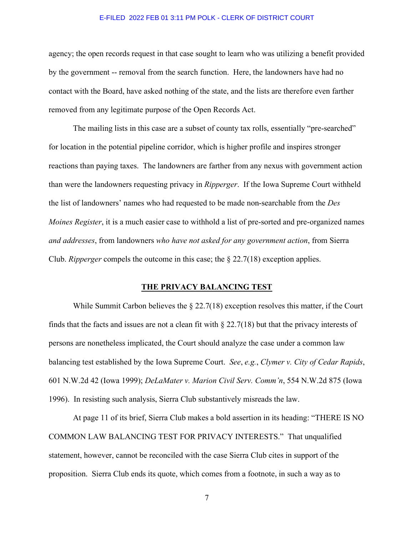agency; the open records request in that case sought to learn who was utilizing a benefit provided by the government -- removal from the search function. Here, the landowners have had no contact with the Board, have asked nothing of the state, and the lists are therefore even farther removed from any legitimate purpose of the Open Records Act.

The mailing lists in this case are a subset of county tax rolls, essentially "pre-searched" for location in the potential pipeline corridor, which is higher profile and inspires stronger reactions than paying taxes. The landowners are farther from any nexus with government action than were the landowners requesting privacy in *Ripperger*. If the Iowa Supreme Court withheld the list of landowners' names who had requested to be made non-searchable from the *Des Moines Register*, it is a much easier case to withhold a list of pre-sorted and pre-organized names *and addresses*, from landowners *who have not asked for any government action*, from Sierra Club. *Ripperger* compels the outcome in this case; the § 22.7(18) exception applies.

## **THE PRIVACY BALANCING TEST**

While Summit Carbon believes the  $\S 22.7(18)$  exception resolves this matter, if the Court finds that the facts and issues are not a clean fit with § 22.7(18) but that the privacy interests of persons are nonetheless implicated, the Court should analyze the case under a common law balancing test established by the Iowa Supreme Court. *See*, *e.g.*, *Clymer v. City of Cedar Rapids*, 601 N.W.2d 42 (Iowa 1999); *DeLaMater v. Marion Civil Serv. Comm'n*, 554 N.W.2d 875 (Iowa 1996). In resisting such analysis, Sierra Club substantively misreads the law.

At page 11 of its brief, Sierra Club makes a bold assertion in its heading: "THERE IS NO COMMON LAW BALANCING TEST FOR PRIVACY INTERESTS." That unqualified statement, however, cannot be reconciled with the case Sierra Club cites in support of the proposition. Sierra Club ends its quote, which comes from a footnote, in such a way as to

7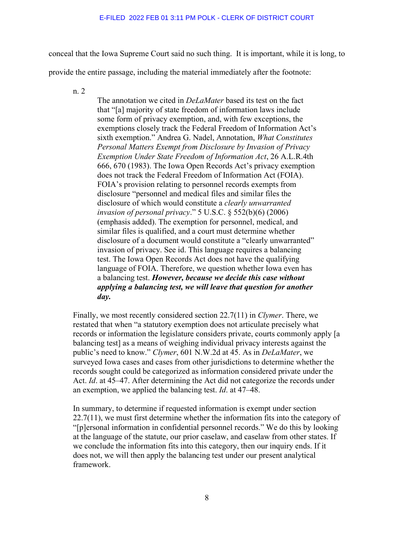conceal that the Iowa Supreme Court said no such thing. It is important, while it is long, to

provide the entire passage, including the material immediately after the footnote:

n. 2

The annotation we cited in *DeLaMater* based its test on the fact that "[a] majority of state freedom of information laws include some form of privacy exemption, and, with few exceptions, the exemptions closely track the Federal Freedom of Information Act's sixth exemption." Andrea G. Nadel, Annotation, *What Constitutes Personal Matters Exempt from Disclosure by Invasion of Privacy Exemption Under State Freedom of Information Act*, 26 A.L.R.4th 666, 670 (1983). The Iowa Open Records Act's privacy exemption does not track the Federal Freedom of Information Act (FOIA). FOIA's provision relating to personnel records exempts from disclosure "personnel and medical files and similar files the disclosure of which would constitute a *clearly unwarranted invasion of personal privacy*." 5 U.S.C. § 552(b)(6) (2006) (emphasis added). The exemption for personnel, medical, and similar files is qualified, and a court must determine whether disclosure of a document would constitute a "clearly unwarranted" invasion of privacy. See id. This language requires a balancing test. The Iowa Open Records Act does not have the qualifying language of FOIA. Therefore, we question whether Iowa even has a balancing test. *However, because we decide this case without applying a balancing test, we will leave that question for another day.*

Finally, we most recently considered section 22.7(11) in *Clymer*. There, we restated that when "a statutory exemption does not articulate precisely what records or information the legislature considers private, courts commonly apply [a balancing test] as a means of weighing individual privacy interests against the public's need to know." *Clymer*, 601 N.W.2d at 45. As in *DeLaMater*, we surveyed Iowa cases and cases from other jurisdictions to determine whether the records sought could be categorized as information considered private under the Act. *Id*. at 45–47. After determining the Act did not categorize the records under an exemption, we applied the balancing test. *Id*. at 47–48.

In summary, to determine if requested information is exempt under section 22.7(11), we must first determine whether the information fits into the category of "[p]ersonal information in confidential personnel records." We do this by looking at the language of the statute, our prior caselaw, and caselaw from other states. If we conclude the information fits into this category, then our inquiry ends. If it does not, we will then apply the balancing test under our present analytical framework.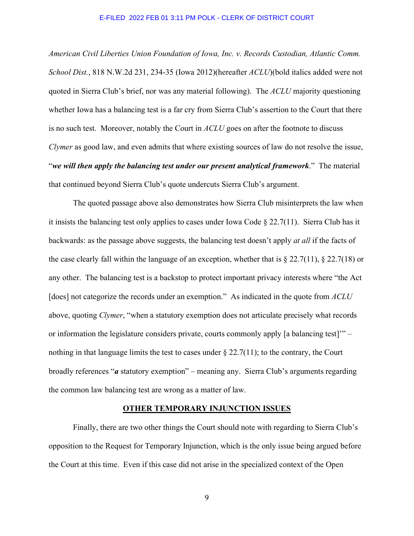*American Civil Liberties Union Foundation of Iowa, Inc. v. Records Custodian, Atlantic Comm. School Dist.*, 818 N.W.2d 231, 234-35 (Iowa 2012)(hereafter *ACLU*)(bold italics added were not quoted in Sierra Club's brief, nor was any material following). The *ACLU* majority questioning whether Iowa has a balancing test is a far cry from Sierra Club's assertion to the Court that there is no such test. Moreover, notably the Court in *ACLU* goes on after the footnote to discuss *Clymer* as good law, and even admits that where existing sources of law do not resolve the issue, "*we will then apply the balancing test under our present analytical framework*." The material that continued beyond Sierra Club's quote undercuts Sierra Club's argument.

The quoted passage above also demonstrates how Sierra Club misinterprets the law when it insists the balancing test only applies to cases under Iowa Code § 22.7(11). Sierra Club has it backwards: as the passage above suggests, the balancing test doesn't apply *at all* if the facts of the case clearly fall within the language of an exception, whether that is  $\S 22.7(11)$ ,  $\S 22.7(18)$  or any other. The balancing test is a backstop to protect important privacy interests where "the Act [does] not categorize the records under an exemption." As indicated in the quote from *ACLU* above, quoting *Clymer*, "when a statutory exemption does not articulate precisely what records or information the legislature considers private, courts commonly apply [a balancing test]'" – nothing in that language limits the test to cases under  $\S 22.7(11)$ ; to the contrary, the Court broadly references "*a* statutory exemption" – meaning any. Sierra Club's arguments regarding the common law balancing test are wrong as a matter of law.

### **OTHER TEMPORARY INJUNCTION ISSUES**

Finally, there are two other things the Court should note with regarding to Sierra Club's opposition to the Request for Temporary Injunction, which is the only issue being argued before the Court at this time. Even if this case did not arise in the specialized context of the Open

9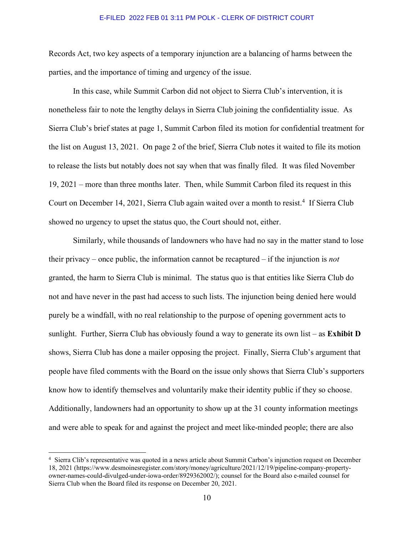Records Act, two key aspects of a temporary injunction are a balancing of harms between the parties, and the importance of timing and urgency of the issue.

In this case, while Summit Carbon did not object to Sierra Club's intervention, it is nonetheless fair to note the lengthy delays in Sierra Club joining the confidentiality issue. As Sierra Club's brief states at page 1, Summit Carbon filed its motion for confidential treatment for the list on August 13, 2021. On page 2 of the brief, Sierra Club notes it waited to file its motion to release the lists but notably does not say when that was finally filed. It was filed November 19, 2021 – more than three months later. Then, while Summit Carbon filed its request in this Court on December 1[4](#page-9-0), 2021, Sierra Club again waited over a month to resist.<sup>4</sup> If Sierra Club showed no urgency to upset the status quo, the Court should not, either.

Similarly, while thousands of landowners who have had no say in the matter stand to lose their privacy – once public, the information cannot be recaptured – if the injunction is *not* granted, the harm to Sierra Club is minimal. The status quo is that entities like Sierra Club do not and have never in the past had access to such lists. The injunction being denied here would purely be a windfall, with no real relationship to the purpose of opening government acts to sunlight. Further, Sierra Club has obviously found a way to generate its own list – as **Exhibit D** shows, Sierra Club has done a mailer opposing the project. Finally, Sierra Club's argument that people have filed comments with the Board on the issue only shows that Sierra Club's supporters know how to identify themselves and voluntarily make their identity public if they so choose. Additionally, landowners had an opportunity to show up at the 31 county information meetings and were able to speak for and against the project and meet like-minded people; there are also

<span id="page-9-0"></span><sup>&</sup>lt;sup>4</sup> Sierra Clib's representative was quoted in a news article about Summit Carbon's injunction request on December 18, 2021 (https://www.desmoinesregister.com/story/money/agriculture/2021/12/19/pipeline-company-propertyowner-names-could-divulged-under-iowa-order/8929362002/); counsel for the Board also e-mailed counsel for Sierra Club when the Board filed its response on December 20, 2021.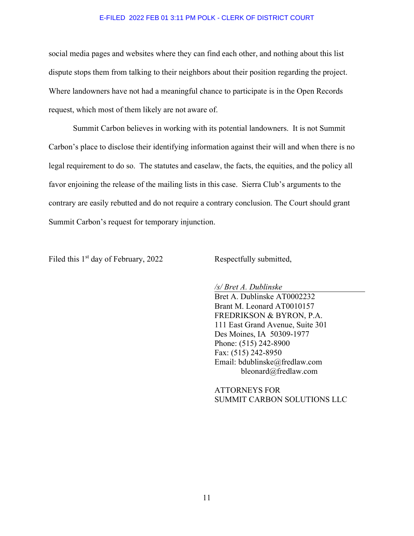social media pages and websites where they can find each other, and nothing about this list dispute stops them from talking to their neighbors about their position regarding the project. Where landowners have not had a meaningful chance to participate is in the Open Records request, which most of them likely are not aware of.

Summit Carbon believes in working with its potential landowners. It is not Summit Carbon's place to disclose their identifying information against their will and when there is no legal requirement to do so. The statutes and caselaw, the facts, the equities, and the policy all favor enjoining the release of the mailing lists in this case. Sierra Club's arguments to the contrary are easily rebutted and do not require a contrary conclusion. The Court should grant Summit Carbon's request for temporary injunction.

Filed this 1<sup>st</sup> day of February, 2022 Respectfully submitted,

*/s/ Bret A. Dublinske*

Bret A. Dublinske AT0002232 Brant M. Leonard AT0010157 FREDRIKSON & BYRON, P.A. 111 East Grand Avenue, Suite 301 Des Moines, IA 50309-1977 Phone: (515) 242-8900 Fax: (515) 242-8950 Email: bdublinske@fredlaw.com bleonard@fredlaw.com

ATTORNEYS FOR SUMMIT CARBON SOLUTIONS LLC